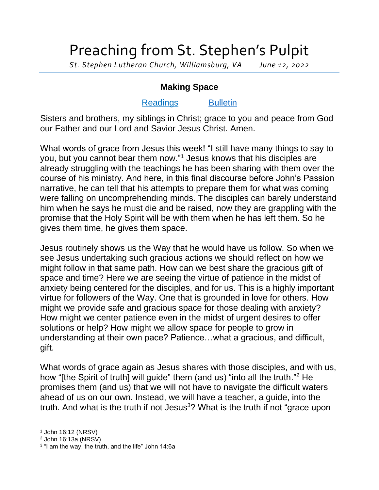## Preaching from St. Stephen's Pulpit

*St. Stephen Lutheran Church, Williamsburg, VA June 12, 2022*

## **Making Space**

## [Readings](https://lectionary.library.vanderbilt.edu/texts.php?id=262) [Bulletin](http://www.saintstephenlutheran.net/sunday-bulletins/)

Sisters and brothers, my siblings in Christ; grace to you and peace from God our Father and our Lord and Savior Jesus Christ. Amen.

What words of grace from Jesus this week! "I still have many things to say to you, but you cannot bear them now." <sup>1</sup> Jesus knows that his disciples are already struggling with the teachings he has been sharing with them over the course of his ministry. And here, in this final discourse before John's Passion narrative, he can tell that his attempts to prepare them for what was coming were falling on uncomprehending minds. The disciples can barely understand him when he says he must die and be raised, now they are grappling with the promise that the Holy Spirit will be with them when he has left them. So he gives them time, he gives them space.

Jesus routinely shows us the Way that he would have us follow. So when we see Jesus undertaking such gracious actions we should reflect on how we might follow in that same path. How can we best share the gracious gift of space and time? Here we are seeing the virtue of patience in the midst of anxiety being centered for the disciples, and for us. This is a highly important virtue for followers of the Way. One that is grounded in love for others. How might we provide safe and gracious space for those dealing with anxiety? How might we center patience even in the midst of urgent desires to offer solutions or help? How might we allow space for people to grow in understanding at their own pace? Patience…what a gracious, and difficult, gift.

What words of grace again as Jesus shares with those disciples, and with us, how "[the Spirit of truth] will guide" them (and us) "into all the truth."<sup>2</sup> He promises them (and us) that we will not have to navigate the difficult waters ahead of us on our own. Instead, we will have a teacher, a guide, into the truth. And what is the truth if not Jesus<sup>3</sup>? What is the truth if not "grace upon

<sup>1</sup> John 16:12 (NRSV)

<sup>2</sup> John 16:13a (NRSV)

<sup>3</sup> "I am the way, the truth, and the life" John 14:6a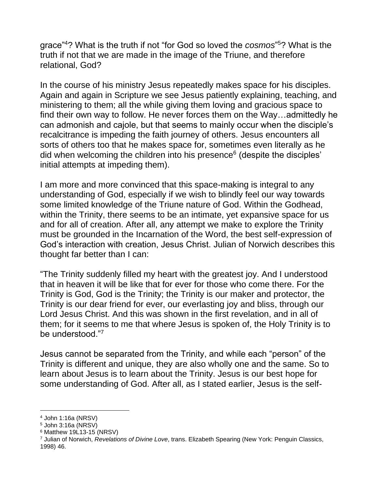grace"<sup>4</sup>? What is the truth if not "for God so loved the *cosmos*" <sup>5</sup>? What is the truth if not that we are made in the image of the Triune, and therefore relational, God?

In the course of his ministry Jesus repeatedly makes space for his disciples. Again and again in Scripture we see Jesus patiently explaining, teaching, and ministering to them; all the while giving them loving and gracious space to find their own way to follow. He never forces them on the Way…admittedly he can admonish and cajole, but that seems to mainly occur when the disciple's recalcitrance is impeding the faith journey of others. Jesus encounters all sorts of others too that he makes space for, sometimes even literally as he did when welcoming the children into his presence<sup>6</sup> (despite the disciples' initial attempts at impeding them).

I am more and more convinced that this space-making is integral to any understanding of God, especially if we wish to blindly feel our way towards some limited knowledge of the Triune nature of God. Within the Godhead, within the Trinity, there seems to be an intimate, yet expansive space for us and for all of creation. After all, any attempt we make to explore the Trinity must be grounded in the Incarnation of the Word, the best self-expression of God's interaction with creation, Jesus Christ. Julian of Norwich describes this thought far better than I can:

"The Trinity suddenly filled my heart with the greatest joy. And I understood that in heaven it will be like that for ever for those who come there. For the Trinity is God, God is the Trinity; the Trinity is our maker and protector, the Trinity is our dear friend for ever, our everlasting joy and bliss, through our Lord Jesus Christ. And this was shown in the first revelation, and in all of them; for it seems to me that where Jesus is spoken of, the Holy Trinity is to be understood."<sup>7</sup>

Jesus cannot be separated from the Trinity, and while each "person" of the Trinity is different and unique, they are also wholly one and the same. So to learn about Jesus is to learn about the Trinity. Jesus is our best hope for some understanding of God. After all, as I stated earlier, Jesus is the self-

 $6$  Matthew 19L13-15 (NRSV)

<sup>4</sup> John 1:16a (NRSV)

<sup>5</sup> John 3:16a (NRSV)

<sup>7</sup> Julian of Norwich, *Revelations of Divine Love*, trans. Elizabeth Spearing (New York: Penguin Classics, 1998) 46.